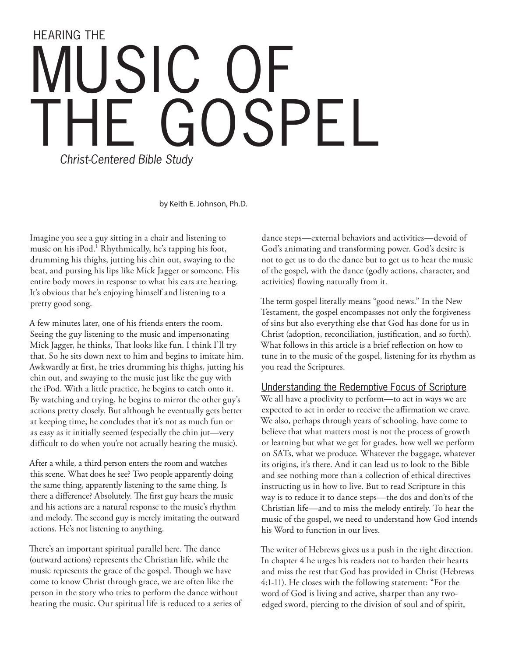# HEARING THE USIC GOSPEL *Christ-Centered Bible Study*

by Keith E. Johnson, Ph.D.

Imagine you see a guy sitting in a chair and listening to music on his iPod.<sup>1</sup> Rhythmically, he's tapping his foot, drumming his thighs, jutting his chin out, swaying to the beat, and pursing his lips like Mick Jagger or someone. His entire body moves in response to what his ears are hearing. It's obvious that he's enjoying himself and listening to a pretty good song.

A few minutes later, one of his friends enters the room. Seeing the guy listening to the music and impersonating Mick Jagger, he thinks, That looks like fun. I think I'll try that. So he sits down next to him and begins to imitate him. Awkwardly at first, he tries drumming his thighs, jutting his chin out, and swaying to the music just like the guy with the iPod. With a little practice, he begins to catch onto it. By watching and trying, he begins to mirror the other guy's actions pretty closely. But although he eventually gets better at keeping time, he concludes that it's not as much fun or as easy as it initially seemed (especially the chin jut—very difficult to do when you're not actually hearing the music).

After a while, a third person enters the room and watches this scene. What does he see? Two people apparently doing the same thing, apparently listening to the same thing. Is there a difference? Absolutely. The first guy hears the music and his actions are a natural response to the music's rhythm and melody. The second guy is merely imitating the outward actions. He's not listening to anything.

There's an important spiritual parallel here. The dance (outward actions) represents the Christian life, while the music represents the grace of the gospel. Though we have come to know Christ through grace, we are often like the person in the story who tries to perform the dance without hearing the music. Our spiritual life is reduced to a series of

dance steps—external behaviors and activities—devoid of God's animating and transforming power. God's desire is not to get us to do the dance but to get us to hear the music of the gospel, with the dance (godly actions, character, and activities) flowing naturally from it.

The term gospel literally means "good news." In the New Testament, the gospel encompasses not only the forgiveness of sins but also everything else that God has done for us in Christ (adoption, reconciliation, justification, and so forth). What follows in this article is a brief reflection on how to tune in to the music of the gospel, listening for its rhythm as you read the Scriptures.

#### Understanding the Redemptive Focus of Scripture

We all have a proclivity to perform—to act in ways we are expected to act in order to receive the affirmation we crave. We also, perhaps through years of schooling, have come to believe that what matters most is not the process of growth or learning but what we get for grades, how well we perform on SATs, what we produce. Whatever the baggage, whatever its origins, it's there. And it can lead us to look to the Bible and see nothing more than a collection of ethical directives instructing us in how to live. But to read Scripture in this way is to reduce it to dance steps—the dos and don'ts of the Christian life—and to miss the melody entirely. To hear the music of the gospel, we need to understand how God intends his Word to function in our lives.

The writer of Hebrews gives us a push in the right direction. In chapter 4 he urges his readers not to harden their hearts and miss the rest that God has provided in Christ (Hebrews 4:1-11). He closes with the following statement: "For the word of God is living and active, sharper than any twoedged sword, piercing to the division of soul and of spirit,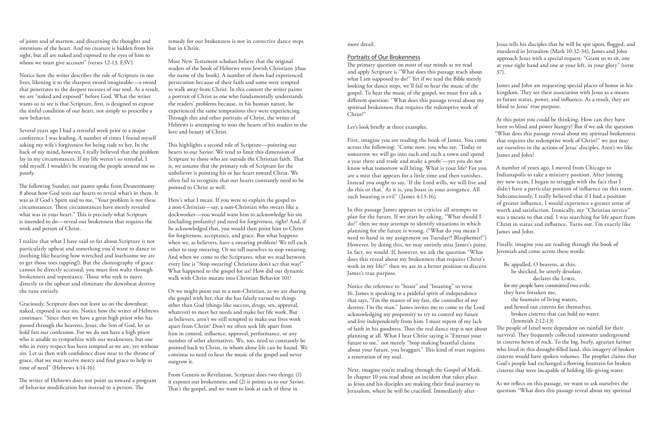Jesus tells his disciples that he will be spit upon, flogged, and murdered in Jerusalem (Mark 10:32-34), James and John approach Jesus with a special request: "Grant us to sit, one at your right hand and one at your left, in your glory" (verse 37).

James and John are requesting special places of honor in his kingdom. They see their association with Jesus as a means to future status, power, and influence. As a result, they are blind to Jesus' true purpose.

At this point you could be thinking, How can they have been so blind and power hungry? But if we ask the question "What does this passage reveal about my spiritual brokenness that requires the redemptive work of Christ?" we just may

God's people had exchanged a flowing fountain for broken cisterns that were incapable of holding life-giving water.

see ourselves in the actions of Jesus' disciples. Aren't we like James and John? A number of years ago, I moved from Chicago to Indianapolis to take a ministry position. After joining my new team, I began to struggle with the fact that I didn't have a particular position of influence on this team. Subconsciously, I really believed that if I had a position of greater influence, I would experience a greater sense of worth and satisfaction. Ironically, my "Christian service" was a means to that end. I was searching for life apart from Christ in status and influence. Turns out, I'm exactly like James and John. First, imagine you are reading the book of James. You come across the following: "Come now, you who say, 'Today or tomorrow we will go into such and such a town and spend a year there and trade and make a profit'—yet you do not know what tomorrow will bring. What is your life? For you are a mist that appears for a little time and then vanishes. Instead you ought to say, 'If the Lord wills, we will live and do this or that.' As it is, you boast in your arrogance. All such boasting is evil" (James 4:13-16). In this passage James appears to criticize all attempts to plan for the future. If we start by asking, "What should I do?" then we may attempt to identify situations in which planning for the future is wrong. ("What do you mean I

> As we reflect on this passage, we want to ask ourselves the question "What does this passage reveal about my spiritual

declares the LORD, for my people have committed two evils: they have forsaken me, the fountain of living waters, and hewed out cisterns for themselves, broken cisterns that can hold no water. (Jeremiah 2:12-13) The people of Israel were dependent on rainfall for their survival. They frequently collected rainwater underground in cisterns hewn of rock. To the big, beefy, agrarian farmer who lived in this drought-filled land, this imagery of broken cisterns would have spoken volumes. The prophet claims that Notice the reference to "boast" and "boasting" in verse 16. James is speaking to a prideful spirit of independence that says, "I'm the master of my fate, the controller of my destiny. I'm the man." James invites me to come to the Lord acknowledging my propensity to try to control my future and live independently from him. I must repent of my lack of faith in his goodness. Thus the real dance step is not about planning at all. What I hear Christ saying is "Entrust your future to me," not merely "Stop making boastful claims about your future, you braggart." This kind of trust requires a renovation of my soul.

more detail.

#### Portraits of Our Brokenness

of joints and of marrow, and discerning the thoughts and intentions of the heart. And no creature is hidden from his sight, but all are naked and exposed to the eyes of him to whom we must give account" (verses 12-13, ESV).

The primary question on most of our minds as we read and apply Scripture is "What does this passage teach about what I am supposed to do?" Yet if we read the Bible merely looking for dance steps, we'll fail to hear the music of the gospel. To hear the music of the gospel, we must first ask a different question: "What does this passage reveal about my spiritual brokenness that requires the redemptive work of Christ?"

Finally, imagine you are reading through the book of Jeremiah and come across these words: Be appalled, O heavens, at this; be shocked, be utterly desolate, need to hand in my assignment on Tuesday?! Blasphemer!") However, by doing this, we may entirely miss James's point. In fact, we would. If, however, we ask the question "What does this reveal about my brokenness that requires Christ's work in my life?" then we are in a better position to discern James's true purpose.

Let's look briefly at three examples.

Next, imagine you're reading through the Gospel of Mark. In chapter 10 you read about an incident that takes place as Jesus and his disciples are making their final journey to Jerusalem, where he will be crucified. Immediately after

Notice how the writer describes the role of Scripture in our lives, likening it to the sharpest sword imaginable—a sword that penetrates to the deepest recesses of our soul. As a result, we are "naked and exposed" before God. What the writer wants us to see is that Scripture, first, is designed to expose the sinful condition of our heart, not simply to prescribe a new behavior.

Several years ago I had a stressful week prior to a major conference I was leading. A number of times I found myself asking my wife's forgiveness for being rude to her. In the back of my mind, however, I really believed that the problem lay in my circumstances. If my life weren't so stressful, I told myself, I wouldn't be treating the people around me so poorly.

The following Sunday, our pastor spoke from Deuteronomy 8 about how God tests our hearts to reveal what's in them. It was as if God's Spirit said to me, "Your problem is not these circumstances. These circumstances have merely revealed what was in your heart." This is precisely what Scripture is intended to do—reveal our brokenness that requires the work and person of Christ.

I realize that what I have said so far about Scripture is not particularly upbeat and something you'd want to dance to (nothing like hearing how wretched and loathsome we are to get those toes tapping!). But the choreography of grace cannot be directly accessed; you must first waltz through brokenness and repentance. Those who seek to move directly to the upbeat and eliminate the downbeat destroy the tune entirely.

Graciously, Scripture does not leave us on the downbeat: naked, exposed in our sin. Notice how the writer of Hebrews continues: "Since then we have a great high priest who has passed through the heavens, Jesus, the Son of God, let us hold fast our confession. For we do not have a high priest who is unable to sympathize with our weaknesses, but one who in every respect has been tempted as we are, yet without sin. Let us then with confidence draw near to the throne of grace, that we may receive mercy and find grace to help in time of need" (Hebrews 4:14-16).

The writer of Hebrews does not point us toward a program of behavior modification but instead to a person. The

remedy for our brokenness is not in corrective dance steps but in Christ.

Most New Testament scholars believe that the original readers of the book of Hebrews were Jewish Christians (thus the name of the book). A number of them had experienced persecution because of their faith and some were tempted to walk away from Christ. In this context the writer paints a portrait of Christ as one who fundamentally understands the readers' problems because, in his human nature, he experienced the same temptations they were experiencing. Through this and other portraits of Christ, the writer of Hebrews is attempting to woo the hearts of his readers to the love and beauty of Christ.

This highlights a second role of Scripture—pointing our hearts to our Savior. We tend to limit this dimension of Scripture to those who are outside the Christian faith. That is, we assume that the primary role of Scripture for the unbeliever is pointing his or her heart toward Christ. We often fail to recognize that our hearts constantly need to be pointed to Christ as well.

Here's what I mean. If you were to explain the gospel to a non-Christian—say, a non-Christian who swears like a dockworker—you would want him to acknowledge his sin (including profanity) and need for forgiveness, right? And, if he acknowledged that, you would then point him to Christ for forgiveness, acceptance, and grace. But what happens when we, as believers, have a swearing problem? We tell each other to stop swearing. Or we tell ourselves to stop swearing. And when we come to the Scriptures, what we read between every line is "Stop swearing! Christians don't act that way!" What happened to the gospel for us? How did our dynamic walk with Christ mutate into Christian Behavior 101?

Or we might point out to a non-Christian, as we are sharing the gospel with her, that she has falsely turned to things other than God (things like success, drugs, sex, approval, whatever) to meet her needs and make her life work. But as believers, aren't we still tempted to make our lives work apart from Christ? Don't we often seek life apart from him in control, influence, approval, performance, or any number of other alternatives. We, too, need to constantly be pointed back to Christ, in whom alone life can be found. We continue to need to hear the music of the gospel and never outgrow it.

From Genesis to Revelation, Scripture does two things: (1) it exposes our brokenness; and (2) it points us to our Savior. That's the gospel, and we want to look at each of these in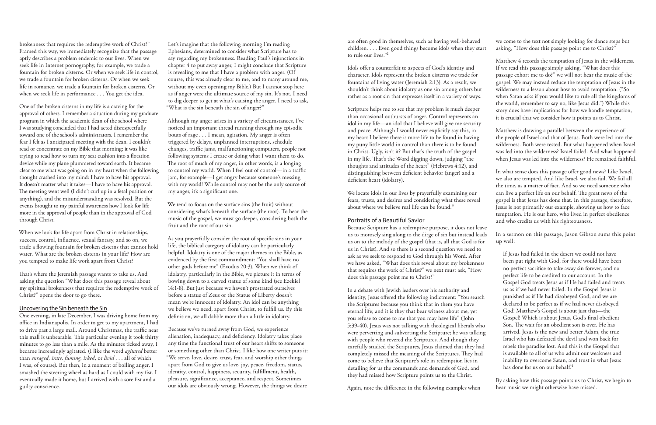we come to the text not simply looking for dance steps but asking, "How does this passage point me to Christ?"

Matthew 4 records the temptation of Jesus in the wilderness. If we read this passage simply asking, "What does this passage exhort me to do?" we will not hear the music of the gospel. We may instead reduce the temptation of Jesus in the wilderness to a lesson about how to avoid temptation. ("So when Satan asks if you would like to rule all the kingdoms of the world, remember to say no, like Jesus did.") While this story does have implications for how we handle temptation, it is crucial that we consider how it points us to Christ.

Matthew is drawing a parallel between the experience of the people of Israel and that of Jesus. Both were led into the wilderness. Both were tested. But what happened when Israel was led into the wilderness? Israel failed. And what happened when Jesus was led into the wilderness? He remained faithful.

In what sense does this passage offer good news? Like Israel, we also are tempted. And like Israel, we also fail. We fail all the time, as a matter of fact. And so we need someone who can live a perfect life on our behalf. The great news of the gospel is that Jesus has done that. In this passage, therefore, Jesus is not primarily our example, showing us how to face temptation. He is our hero, who lived in perfect obedience and who credits us with his righteousness.

## In a sermon on this passage, Jason Gibson sums this point up well:

We locate idols in our lives by prayerfully examining our fears, trusts, and desires and considering what these reveal about where we believe real life can be found.<sup>3</sup>

> By asking how this passage points us to Christ, we begin to hear music we might otherwise have missed.

are often good in themselves, such as having well-behaved children. . . . Even good things become idols when they start to rule our lives."2

Idols offer a counterfeit to aspects of God's identity and character. Idols represent the broken cisterns we trade for fountains of living water (Jeremiah 2:13). As a result, we shouldn't think about idolatry as one sin among others but rather as a root sin that expresses itself in a variety of ways.

Scripture helps me to see that my problem is much deeper than occasional outbursts of anger. Control represents an idol in my life—an idol that I believe will give me security and peace. Although I would never explicitly say this, in my heart I believe there is more life to be found in having my puny little world in control than there is to be found in Christ. Ugly, isn't it? But that's the truth of the gospel in my life. That's the Word digging down, judging "the thoughts and attitudes of the heart" (Hebrews 4:12), and distinguishing between deficient behavior (anger) and a deficient heart (idolatry).

If Jesus had failed in the desert we could not have been put right with God, for there would have been no perfect sacrifice to take away sin forever, and no perfect life to be credited to our account. In the Gospel God treats Jesus as if He had failed and treats us as if we had never failed. In the Gospel Jesus is punished as if He had disobeyed God, and we are declared to be perfect as if we had never disobeyed God! Matthew's Gospel is about just that—the Gospel! Which is about Jesus, God's final obedient Son. The wait for an obedient son is over. He has arrived. Jesus is the new and better Adam, the true Israel who has defeated the devil and won back for rebels the paradise lost. And this is the Gospel that is available to all of us who admit our weakness and inability to overcome Satan, and trust in what Jesus has done for us on our behalf.<sup>4</sup> ask as we seek to respond to God through his Word. After we have asked, "What does this reveal about my brokenness that requires the work of Christ?" we next must ask, "How does this passage point me to Christ?" In a debate with Jewish leaders over his authority and identity, Jesus offered the following indictment: "You search the Scriptures because you think that in them you have eternal life; and it is they that bear witness about me, yet you refuse to come to me that you may have life" (John 5:39-40). Jesus was not talking with theological liberals who were perverting and subverting the Scripture; he was talking with people who revered the Scriptures. And though they carefully studied the Scriptures, Jesus claimed that they had completely missed the meaning of the Scriptures. They had come to believe that Scripture's role in redemption lies in detailing for us the commands and demands of God, and they had missed how Scripture points us to the Christ.

#### Portraits of a Beautiful Savior

Because Scripture has a redemptive purpose, it does not leave us to morosely sing along to the dirge of sin but instead leads us on to the melody of the gospel (that is, all that God is for us in Christ). And so there is a second question we need to

Again, note the difference in the following examples when

brokenness that requires the redemptive work of Christ?" Framed this way, we immediately recognize that the passage aptly describes a problem endemic to our lives. When we seek life in Internet pornography, for example, we trade a fountain for broken cisterns. Or when we seek life in control, we trade a fountain for broken cisterns. Or when we seek life in romance, we trade a fountain for broken cisterns. Or when we seek life in performance . . . You get the idea.

One of the broken cisterns in my life is a craving for the approval of others. I remember a situation during my graduate program in which the academic dean of the school where I was studying concluded that I had acted disrespectfully toward one of the school's administrators. I remember the fear I felt as I anticipated meeting with the dean. I couldn't read or concentrate on my Bible that morning; it was like trying to read how to turn my seat cushion into a flotation device while my plane plummeted toward earth. It became clear to me what was going on in my heart when the following thought crashed into my mind: I have to have his approval. It doesn't matter what it takes—I have to have his approval. The meeting went well (I didn't curl up in a fetal position or anything), and the misunderstanding was resolved. But the events brought to my painful awareness how I look for life more in the approval of people than in the approval of God through Christ.

When we look for life apart from Christ in relationships, success, control, influence, sexual fantasy, and so on, we trade a flowing fountain for broken cisterns that cannot hold water. What are the broken cisterns in your life? How are you tempted to make life work apart from Christ?

That's where the Jeremiah passage wants to take us. And asking the question "What does this passage reveal about my spiritual brokenness that requires the redemptive work of Christ?" opens the door to go there.

#### Uncovering the Sin beneath the Sin

One evening, in late December, I was driving home from my office in Indianapolis. In order to get to my apartment, I had to drive past a large mall. Around Christmas, the traffic near this mall is unbearable. This particular evening it took thirty minutes to go less than a mile. As the minutes ticked away, I became increasingly agitated. (I like the word *agitated* better than *enraged, irate, fuming, irked*, or *livid* . . . all of which I was, of course). But then, in a moment of boiling anger, I smashed the steering wheel as hard as I could with my fist. I eventually made it home, but I arrived with a sore fist and a guilty conscience.

Let's imagine that the following morning I'm reading Ephesians, determined to consider what Scripture has to say regarding my brokenness. Reading Paul's injunctions in chapter 4 to put away anger, I might conclude that Scripture is revealing to me that I have a problem with anger. (Of course, this was already clear to me, and to many around me, without my even opening my Bible.) But I cannot stop here as if anger were the ultimate source of my sin. It's not. I need to dig deeper to get at what's causing the anger. I need to ask, "What is the sin beneath the sin of anger?"

Although my anger arises in a variety of circumstances, I've noticed an important thread running through my episodic bouts of rage . . . I mean, agitation. My anger is often triggered by delays, unplanned interruptions, schedule changes, traffic jams, malfunctioning computers, people not following systems I create or doing what I want them to do. The root of much of my anger, in other words, is a longing to control my world. When I feel out of control—in a traffic jam, for example—I get angry because someone's messing with my world! While control may not be the only source of my anger, it's a significant one.

We tend to focus on the surface sins (the fruit) without considering what's beneath the surface (the root). To hear the music of the gospel, we must go deeper, considering both the fruit and the root of our sin.

As you prayerfully consider the root of specific sins in your life, the biblical category of idolatry can be particularly helpful. Idolatry is one of the major themes in the Bible, as evidenced by the first commandment: "You shall have no other gods before me" (Exodus 20:3). When we think of idolatry, particularly in the Bible, we picture it in terms of bowing down to a carved statue of some kind (see Ezekiel 14:1-8). But just because we haven't prostrated ourselves before a statue of Zeus or the Statue of Liberty doesn't mean we're innocent of idolatry. An idol can be anything we believe we need, apart from Christ, to fulfill us. By this definition, we all dabble more than a little in idolatry.

Because we've turned away from God, we experience alienation, inadequacy, and deficiency. Idolatry takes place any time the functional trust of our heart shifts to someone or something other than Christ. I like how one writer puts it: "We serve, love, desire, trust, fear, and worship other things apart from God to give us love, joy, peace, freedom, status, identity, control, happiness, security, fulfillment, health, pleasure, significance, acceptance, and respect. Sometimes our idols are obviously wrong. However, the things we desire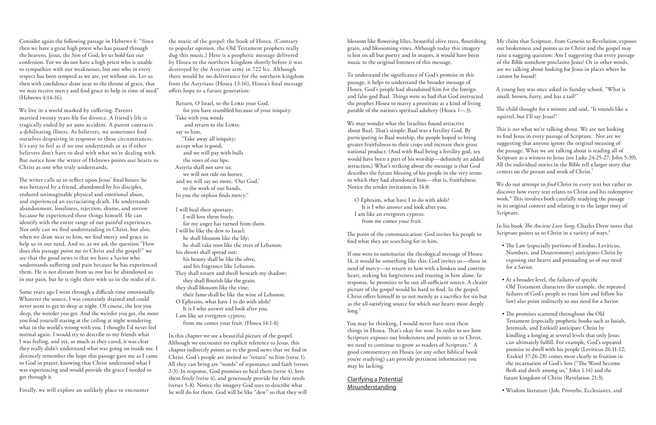| ıg | My claim that Scripture, from Genesis to Revelation, exposes<br>our brokenness and points us to Christ and the gospel may                                                                                 |
|----|-----------------------------------------------------------------------------------------------------------------------------------------------------------------------------------------------------------|
|    | raise a nagging question: Am I suggesting that every passage<br>of the Bible somehow proclaims Jesus? Or in other words,<br>are we talking about looking for Jesus in places where he<br>cannot be found? |
|    | A young boy was once asked in Sunday school, "What is<br>small, brown, furry, and has a tail?"                                                                                                            |
|    | The child thought for a minute and said, "It sounds like a<br>squirrel, but I'll say Jesus!"                                                                                                              |

In his book *The Ancient Love Song*, Charles Drew notes that Scripture points us to Christ in a variety of ways.<sup>9</sup>

This is *not* what we're talking about. We are not looking to find Jesus in every passage of Scripture. Nor are we suggesting that anyone ignore the original meaning of the passage. What we are talking about is reading all of Scripture as a witness to Jesus (see Luke 24:25-27; John 5:39). All the individual stories in the Bible tell a larger story that centers on the person and work of Christ.7

We do not attempt to *find* Christ in every text but rather to discover how every text relates to Christ and his redemptive work.<sup>8</sup> This involves both carefully studying the passage in its original context and relating it to the larger story of Scripture.

blossom like flowering lilies, beautiful olive trees, flourishin grain, and blossoming vines. Although today this imagery is lost on all but poetry and lit majors, it would have been music to the original listeners of this message.

| • The Law (especially portions of Exodus, Leviticus, |
|------------------------------------------------------|
| Numbers, and Deuteronomy) anticipates Christ by      |
| exposing our hearts and persuading us of our need    |
| for a Savior.                                        |

If one were to summarize the theological message of Hosea 14, it would be something like this: God invites us—those in need of mercy—to return to him with a broken and contrite heart, seeking his forgiveness and trusting in him alone. In response, he promises to be our all-sufficient source. A clearer picture of the gospel would be hard to find. In the gospel, Christ offers himself to us not merely as a sacrifice for sin but as the all-satisfying source for which our hearts most deeply  $long.<sup>5</sup>$ 

- At a broader level, the failures of specific Old Testament characters (for example, the repeated failures of God's people to trust him and follow his law) also point indirectly to our need for a Savior.
	- The promises scattered throughout the Old Testament (especially prophetic books such as Isaiah, Jeremiah, and Ezekiel) anticipate Christ by kindling a longing at several levels that only Jesus can ultimately fulfill. For example, God's repeated promise to dwell with his people (Leviticus 26:11-12; Ezekiel 37:26-28) comes most clearly to fruition in the incarnation of God's Son ("The Word become flesh and dwelt among us," John 1:14) and the future kingdom of Christ (Revelation 21:3).
	- Wisdom literature (Job, Proverbs, Ecclesiastes, and

To understand the significance of God's promise in this passage, it helps to understand the broader message of Hosea. God's people had abandoned him for the foreign and false god Baal. Things were so bad that God instructed the prophet Hosea to marry a prostitute as a kind of living parable of the nation's spiritual adultery (Hosea 1—3).

We may wonder what the Israelites found attractive about Baal. That's simple: Baal was a fertility God. By participating in Baal worship, the people hoped to bring greater fruitfulness to their crops and increase their gross national product. (And with Baal being a fertility god, sex would have been a part of his worship—definitely an added attraction.) What's striking about the message is that God describes the future blessing of his people in the very terms in which they had abandoned him—that is, fruitfulness. Notice the tender invitation in 14:8:

O Ephraim, what have I to do with idols? It is I who answer and look after you. I am like an evergreen cypress; from me comes your fruit.

The point of the communication: God invites his people to find what they are searching for in him.

Return, O Israel, to the LORD your God, for you have stumbled because of your iniquity. Take with you words and return to the LORD; say to him, "Take away all iniquity; accept what is good, and we will pay with bulls the vows of our lips. Assyria shall not save us; we will not ride on horses; and we will say no more, 'Our God,' to the work of our hands. In you the orphan finds mercy."

> You may be thinking, I would never have seen these things in Hosea. That's okay for now. In order to see how Scripture exposes our brokenness and points us to Christ, we need to continue to grow as readers of Scripture.<sup>6</sup> A good commentary on Hosea (or any other biblical book you're studying) can provide pertinent information you may be lacking.

Clarifying a Potential Misunderstanding

Consider again the following passage in Hebrews 4: "Since then we have a great high priest who has passed through the heavens, Jesus, the Son of God, let us hold fast our confession. For we do not have a high priest who is unable to sympathize with our weaknesses, but one who in every respect has been tempted as we are, yet without sin. Let us then with confidence draw near to the throne of grace, that we may receive mercy and find grace to help in time of need" (Hebrews 4:14-16).

We live in a world marked by suffering. Parents married twenty years file for divorce. A friend's life is tragically ended by an auto accident. A parent contracts a debilitating illness. As believers, we sometimes find ourselves despairing in response to these circumstances. It's easy to feel as if no one understands or as if other believers don't have to deal with what we're dealing with. But notice how the writer of Hebrews points our hearts to Christ as one who truly understands.

The writer calls us to reflect upon Jesus' final hours: he was betrayed by a friend, abandoned by his disciples, endured unimaginable physical and emotional abuse, and experienced an excruciating death. He understands abandonment, loneliness, rejection, shame, and sorrow because he experienced these things himself. He can identify with the entire range of our painful experiences. Not only can we find understanding in Christ, but also, when we draw near to him, we find mercy and grace to help us in our need. And so, as we ask the question "How does this passage point me to Christ and the gospel?" we see that the good news is that we have a Savior who understands suffering and pain because he has experienced them. He is not distant from us nor has he abandoned us in our pain, but he is right there with us in the midst of it.

Some years ago I went through a difficult time emotionally. Whatever the source, I was constantly drained and could never seem to get to sleep at night. Of course, the less you sleep, the weirder you get. And the weirder you get, the more you find yourself staring at the ceiling at night wondering what in the world's wrong with you. I thought I'd never feel normal again. I would try to describe to my friends what I was feeling, and yet, as much as they cared, it was clear they really didn't understand what was going on inside me. I distinctly remember the hope this passage gave me as I came to God in prayer, knowing that Christ understood what I was experiencing and would provide the grace I needed to get through it.

Finally, we will explore an unlikely place to encounter

the music of the gospel: the book of Hosea. (Contrary to popular opinion, the Old Testament prophets really dug this music.) Here is a prophetic message delivered by Hosea to the northern kingdom shortly before it was destroyed by the Assyrian army in 722 b.c. Although there would be no deliverance for the northern kingdom from the Assyrians (Hosea 13:16), Hosea's final message offers hope to a future generation:

I will heal their apostasy; I will love them freely, for my anger has turned from them. I will be like the dew to Israel; he shall blossom like the lily; he shall take root like the trees of Lebanon; his shoots shall spread out; his beauty shall be like the olive, and his fragrance like Lebanon. They shall return and dwell beneath my shadow; they shall flourish like the grain; they shall blossom like the vine; their fame shall be like the wine of Lebanon. O Ephraim, what have I to do with idols? It is I who answer and look after you. I am like an evergreen cypress; from me comes your fruit. (Hosea 14:1-8)

In this chapter we see a beautiful picture of the gospel. Although we encounter no explicit reference to Jesus, this chapter indirectly points us to the good news that we find in Christ. God's people are invited to "return" to him (verse 1). All they can bring are "words" of repentance and faith (verses 2-3). In response, God promises to heal them (verse 4), love them freely (verse 4), and generously provide for their needs (verses 5-8). Notice the imagery God uses to describe what he will do for them. God will be like "dew" so that they will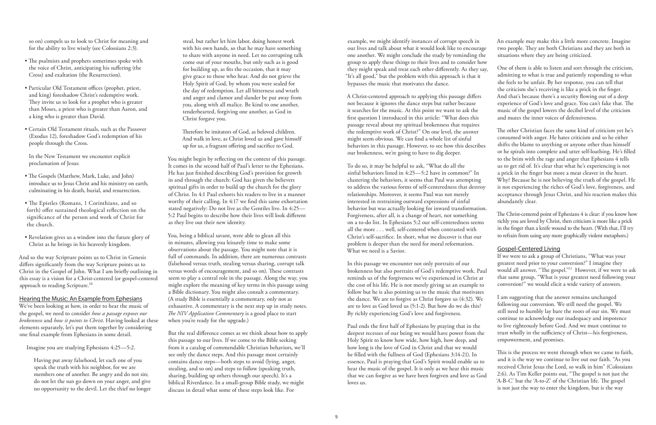A Christ-centered approach to applying this passage differs not because it ignores the dance steps but rather because it searches for the music. At this point we want to ask the first question I introduced in this article: "What does this passage reveal about my spiritual brokenness that requires the redemptive work of Christ?" On one level, the answer might seem obvious. We can find a whole list of sinful behaviors in this passage. However, to see how this describes our brokenness, we're going to have to dig deeper.

example, we might identify instances of corrupt speech in our lives and talk about what it would look like to encourage one another. We might conclude the study by reminding the group to apply these things to their lives and to consider how they might speak and treat each other differently. As they say, "It's all good," but the problem with this approach is that it bypasses the music that motivates the dance. An example may make this a little more concrete. Imagine two people. They are both Christians and they are both in situations where they are being criticized. One of them is able to listen and sort through the criticism, she feels to be unfair. By her response, you can tell that

In this passage we encounter not only portraits of our brokenness but also portraits of God's redemptive work. Paul reminds us of the forgiveness we've experienced in Christ at the cost of his life. He is not merely giving us an example to follow but he is also pointing us to the music that motivates the dance. We are to forgive as Christ forgave us (4:32). We are to love as God loved us (5:1-2). But how do we do this? By richly experiencing God's love and forgiveness.

To do so, it may be helpful to ask, "What do all the sinful behaviors listed in 4:25—5:2 have in common?" In clustering the behaviors, it seems that Paul was attempting to address the various forms of self-centeredness that destroy relationships. Moreover, it seems Paul was not merely interested in restraining outward expressions of sinful behavior but was actually looking for inward transformation. Forgiveness, after all, is a change of heart, not something on a to-do list. In Ephesians 5:2 our self-centeredness seems all the more . . . well, self-centered when contrasted with Christ's self-sacrifice. In short, what we discover is that our problem is deeper than the need for moral reformation. What we need is a Savior. a prick in the finger but more a meat cleaver in the heart. Why? Because he is not believing the truth of the gospel. He is not experiencing the riches of God's love, forgiveness, and acceptance through Jesus Christ, and his reaction makes this abundantly clear. The Christ-centered point of Ephesians 4 is clear: if you know how richly you are loved by Christ, then criticism is more like a prick in the finger than a knife wound to the heart. (With that, I'll try to refrain from using any more graphically violent metaphors.) Gospel-Centered Living

admitting to what is true and patiently responding to what the criticism she's receiving is like a prick in the finger. And that's because there's a security flowing out of a deep experience of God's love and grace. You can't fake that. The music of the gospel lowers the decibel level of the criticism and mutes the inner voices of defensiveness.

And so the way Scripture points us to Christ in Genesis differs significantly from the way Scripture points us to Christ in the Gospel of John. What I am briefly outlining in this essay is a vision for a Christ-centered (or gospel-centered approach to reading Scripture.<sup>10</sup>

The other Christian faces the same kind of criticism yet he's consumed with anger. He hates criticism and so he either shifts the blame to anything or anyone other than himself or he spirals into complete and utter self-loathing. He's filled to the brim with the rage and anger that Ephesians 4 tells us to get rid of. It's clear that what he's experiencing is not

Paul ends the first half of Ephesians by praying that in the deepest recesses of our being we would have power from the Holy Spirit to know how wide, how high, how deep, and how long is the love of God in Christ and that we would be filled with the fullness of God (Ephesians 3:14-21). In essence, Paul is praying that God's Spirit would enable us to hear the music of the gospel. It is only as we hear this music that we can forgive as we have been forgiven and love as God loves us. trust wholly in the sufficiency of Christ—his forgiveness, empowerment, and promises. This is the process we went through when we came to faith, and it is the way we continue to live out our faith. "As you received Christ Jesus the Lord, so walk in him" (Colossians 2:6). As Tim Keller points out, "The gospel is not just the 'A-B-C' but the 'A-to-Z' of the Christian life. The gospel is not just the way to enter the kingdom, but is the way

If we were to ask a group of Christians, "What was your greatest need prior to your conversion?" I imagine they would all answer, "The gospel."11 However, if we were to ask that same group, "What is your greatest need following your conversion?" we would elicit a wide variety of answers.

I am suggesting that the answer remains unchanged following our conversion. We still need the gospel. We still need to humbly lay bare the roots of our sin. We must continue to acknowledge our inadequacy and impotence to live righteously before God. And we must continue to

so on) compels us to look to Christ for meaning and for the ability to live wisely (see Colossians 2:3).

- The psalmists and prophets sometimes spoke with the voice of Christ, anticipating his suffering (the Cross) and exaltation (the Resurrection).
- Particular Old Testament offices (prophet, priest, and king) foreshadow Christ's redemptive work. They invite us to look for a prophet who is greater than Moses, a priest who is greater than Aaron, and a king who is greater than David.
- Certain Old Testament rituals, such as the Passover (Exodus 12), foreshadow God's redemption of his people through the Cross.

In the New Testament we encounter explicit proclamation of Jesus:

- The Gospels (Matthew, Mark, Luke, and John) introduce us to Jesus Christ and his ministry on earth, culminating in his death, burial, and resurrection.
- The Epistles (Romans, 1 Corinthians, and so forth) offer sustained theological reflection on the significance of the person and work of Christ for the church.
- Revelation gives us a window into the future glory of Christ as he brings in his heavenly kingdom.

#### Hearing the Music: An Example from Ephesians

We've been looking at how, in order to hear the music of the gospel, we need to consider *how a passage exposes our brokenness* and *how it points to Christ*. Having looked at these elements separately, let's put them together by considering one final example from Ephesians in some detail.

Imagine you are studying Ephesians 4:25—5:2.

Having put away falsehood, let each one of you speak the truth with his neighbor, for we are members one of another. Be angry and do not sin; do not let the sun go down on your anger, and give no opportunity to the devil. Let the thief no longer

steal, but rather let him labor, doing honest work with his own hands, so that he may have something to share with anyone in need. Let no corrupting talk come out of your mouths, but only such as is good for building up, as fits the occasion, that it may give grace to those who hear. And do not grieve the Holy Spirit of God, by whom you were sealed for the day of redemption. Let all bitterness and wrath and anger and clamor and slander be put away from you, along with all malice. Be kind to one another, tenderhearted, forgiving one another, as God in Christ forgave you.

Therefore be imitators of God, as beloved children. And walk in love, as Christ loved us and gave himself up for us, a fragrant offering and sacrifice to God.

You might begin by reflecting on the context of this passage. It comes in the second half of Paul's letter to the Ephesians. He has just finished describing God's provision for growth in and through the church: God has given the believers spiritual gifts in order to build up the church for the glory of Christ. In 4:1 Paul exhorts his readers to live in a manner worthy of their calling. In 4:17 we find this same exhortation stated negatively: Do not live as the Gentiles live. In 4:25— 5:2 Paul begins to describe how their lives will look different as they live out their new identity.

You, being a biblical savant, were able to glean all this in minutes, allowing you leisurely time to make some observations about the passage. You might note that it is full of commands. In addition, there are numerous contrasts (falsehood versus truth, stealing versus sharing, corrupt talk versus words of encouragement, and so on). These contrasts seem to play a central role in the passage. Along the way, you might explore the meaning of key terms in this passage using a Bible dictionary. You might also consult a commentary. (A study Bible is essentially a commentary, only not as exhaustive. A commentary is the next step up in study notes. *The NIV Application Commentary* is a good place to start when you're ready for the upgrade.)

But the real difference comes as we think about how to apply this passage to our lives. If we come to the Bible seeking from it a catalog of commendable Christian behaviors, we'll see only the dance steps. And this passage most certainly contains dance steps—both steps to avoid (lying, anger, stealing, and so on) and steps to follow (speaking truth, sharing, building up others through our speech). It's a biblical Riverdance. In a small-group Bible study, we might discuss in detail what some of these steps look like. For